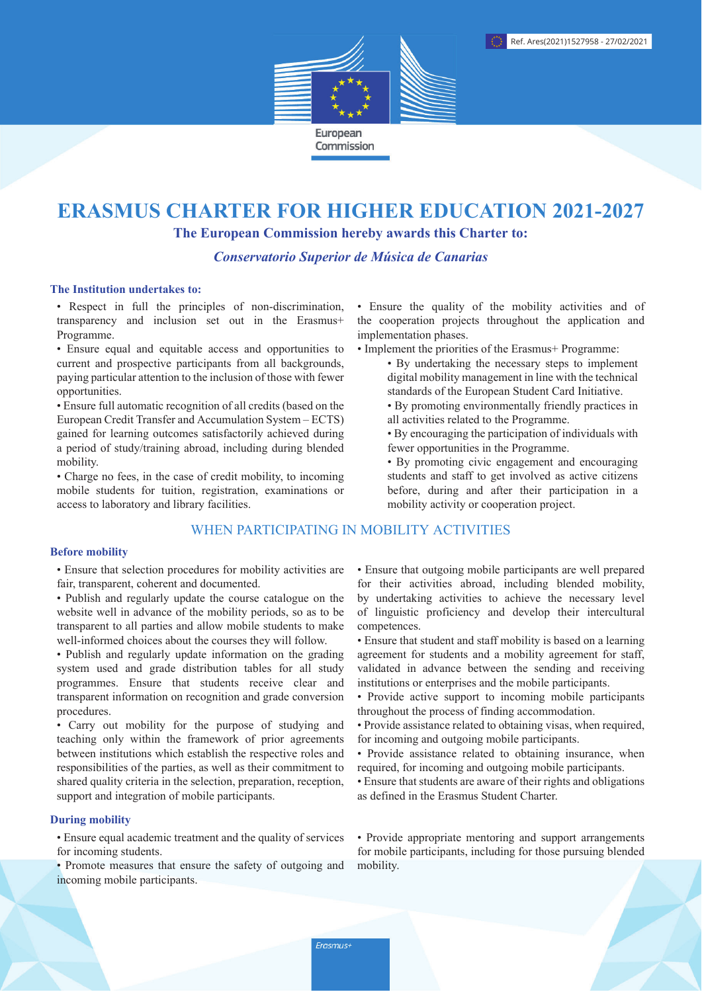

# **ERASMUS CHARTER FOR HIGHER EDUCATION 2021-2027**

The European Commission hereby awards this Charter to:

Conservatorio Superior de Música de Canarias

#### The Institution undertakes to:

• Respect in full the principles of non-discrimination, transparency and inclusion set out in the Erasmus+ Programme.

• Ensure equal and equitable access and opportunities to current and prospective participants from all backgrounds, paying particular attention to the inclusion of those with fewer opportunities.

• Ensure full automatic recognition of all credits (based on the European Credit Transfer and Accumulation System – ECTS) gained for learning outcomes satisfactorily achieved during a period of study/training abroad, including during blended mobility.

• Charge no fees, in the case of credit mobility, to incoming mobile students for tuition, registration, examinations or access to laboratory and library facilities.

# WHEN PARTICIPATING IN MOBILITY ACTIVITIES

#### **Before mobility**

• Ensure that selection procedures for mobility activities are fair, transparent, coherent and documented.

- Publish and regularly update the course catalogue on the website well in advance of the mobility periods, so as to be transparent to all parties and allow mobile students to make well-informed choices about the courses they will follow.
- Publish and regularly update information on the grading system used and grade distribution tables for all study programmes. Ensure that students receive clear and transparent information on recognition and grade conversion procedures.

• Carry out mobility for the purpose of studying and teaching only within the framework of prior agreements between institutions which establish the respective roles and responsibilities of the parties, as well as their commitment to shared quality criteria in the selection, preparation, reception. support and integration of mobile participants.

#### **During mobility**

• Ensure equal academic treatment and the quality of services for incoming students.

• Promote measures that ensure the safety of outgoing and incoming mobile participants.

• Ensure the quality of the mobility activities and of the cooperation projects throughout the application and implementation phases.

- Implement the priorities of the Erasmus+ Programme:
	- By undertaking the necessary steps to implement digital mobility management in line with the technical standards of the European Student Card Initiative.
	- By promoting environmentally friendly practices in all activities related to the Programme.
	- By encouraging the participation of individuals with fewer opportunities in the Programme.
	- By promoting civic engagement and encouraging students and staff to get involved as active citizens before, during and after their participation in a mobility activity or cooperation project.

• Ensure that outgoing mobile participants are well prepared for their activities abroad, including blended mobility, by undertaking activities to achieve the necessary level of linguistic proficiency and develop their intercultural competences.

- Ensure that student and staff mobility is based on a learning agreement for students and a mobility agreement for staff. validated in advance between the sending and receiving institutions or enterprises and the mobile participants.
- Provide active support to incoming mobile participants throughout the process of finding accommodation.
- Provide assistance related to obtaining visas, when required, for incoming and outgoing mobile participants.
- Provide assistance related to obtaining insurance, when required, for incoming and outgoing mobile participants.
- Ensure that students are aware of their rights and obligations as defined in the Erasmus Student Charter.

• Provide appropriate mentoring and support arrangements for mobile participants, including for those pursuing blended mobility.

Erasmus+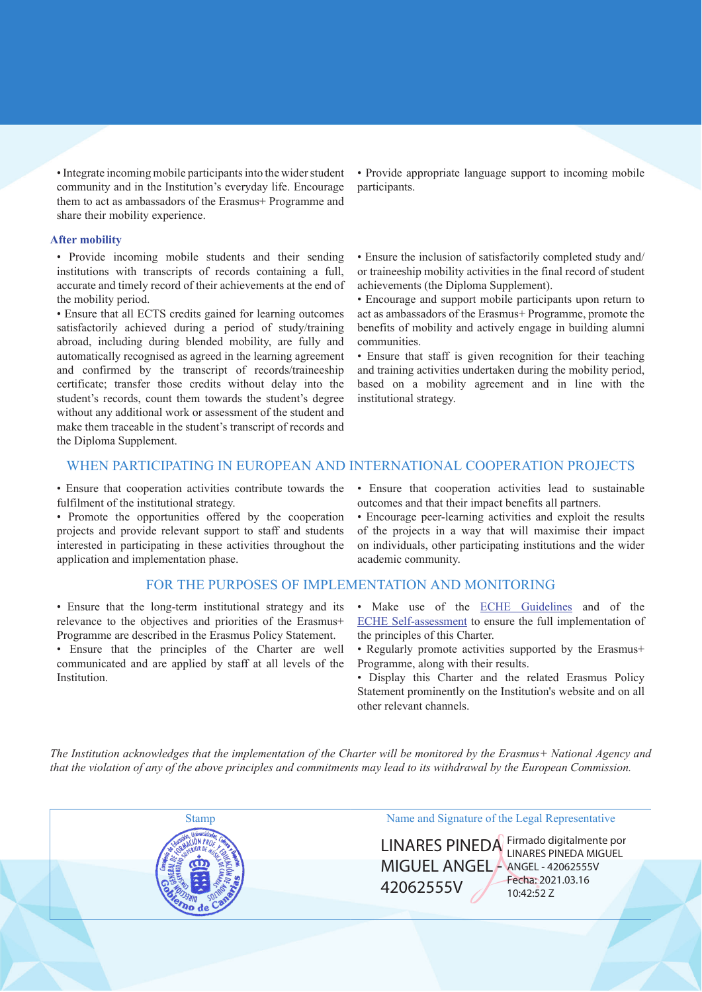• Integrate incoming mobile participants into the wider student community and in the Institution's everyday life. Encourage them to act as ambassadors of the Erasmus+ Programme and share their mobility experience.

#### **After mobility**

• Provide incoming mobile students and their sending institutions with transcripts of records containing a full, accurate and timely record of their achievements at the end of the mobility period.

• Ensure that all ECTS credits gained for learning outcomes satisfactorily achieved during a period of study/training abroad, including during blended mobility, are fully and automatically recognised as agreed in the learning agreement and confirmed by the transcript of records/traineeship certificate; transfer those credits without delay into the student's records, count them towards the student's degree without any additional work or assessment of the student and make them traceable in the student's transcript of records and the Diploma Supplement.

• Provide appropriate language support to incoming mobile participants.

• Ensure the inclusion of satisfactorily completed study and/ or traineeship mobility activities in the final record of student achievements (the Diploma Supplement).

• Encourage and support mobile participants upon return to act as ambassadors of the Erasmus+ Programme, promote the benefits of mobility and actively engage in building alumni communities

• Ensure that staff is given recognition for their teaching and training activities undertaken during the mobility period. based on a mobility agreement and in line with the institutional strategy.

## WHEN PARTICIPATING IN EUROPEAN AND INTERNATIONAL COOPERATION PROJECTS

• Ensure that cooperation activities contribute towards the fulfilment of the institutional strategy.

• Promote the opportunities offered by the cooperation projects and provide relevant support to staff and students interested in participating in these activities throughout the application and implementation phase.

#### FOR THE PURPOSES OF IMPLEMENTATION AND MONITORING

• Ensure that the long-term institutional strategy and its relevance to the objectives and priorities of the Erasmus+ Programme are described in the Erasmus Policy Statement.

· Ensure that the principles of the Charter are well communicated and are applied by staff at all levels of the Institution.

• Ensure that cooperation activities lead to sustainable outcomes and that their impact benefits all partners.

• Encourage peer-learning activities and exploit the results of the projects in a way that will maximise their impact on individuals, other participating institutions and the wider academic community.

- · Make use of the ECHE Guidelines and of the ECHE Self-assessment to ensure the full implementation of the principles of this Charter.
- Regularly promote activities supported by the Erasmus+ Programme, along with their results.
- · Display this Charter and the related Erasmus Policy Statement prominently on the Institution's website and on all other relevant channels.

The Institution acknowledges that the implementation of the Charter will be monitored by the Erasmus+ National Agency and that the violation of any of the above principles and commitments may lead to its withdrawal by the European Commission.



## Name and Signature of the Legal Representative

MIGUEL ANGEL ANGEL - 42062555V 42062555V

LINARES PINEDA Firmado digitalmente por Fecha: 2021.03.16 10:42:52 Z